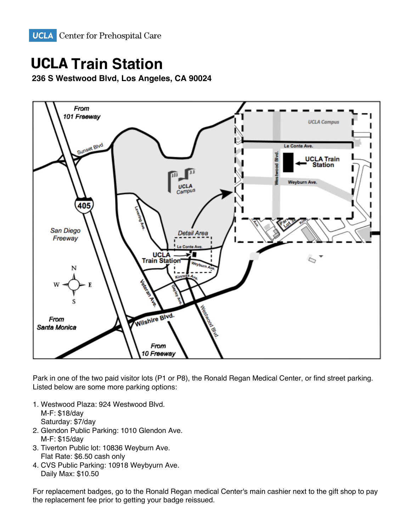

## **UCLA Train Station**

1083 Gayley Avenue, Los Angeles, CA 90024 **236 S Westwood Blvd Los Angeles, CA 90024 236 S Westwood Blvd, Los Angeles, CA 90024**



Park in one of the two paid visitor lots (P1 or P8), the Ronald Regan Medical Center, or find street parking. Listed below are some more parking options:

- Parking is available in UCLA Parking Structure 32 (lot entrances are on Kinross Avenue between Gayley Ave and M-F: \$18/day Saturday: \$7/day. The east of Structure 22 and of Structure 32 and of Structure 32 and of Structure 32 and of Structure 32 and of Structure 32 and of Structure 32 and of Structure 32 and of Structure 32 and of Structure 32 1. Westwood Plaza: 924 Westwood Blvd.
- 2. Glendon Public Parking: 1010 Glendon Ave. M-F: \$15/day. The replacement fee prior to getting and parking options. The replacement fee prior to getting your badge reflexive prior to getting your badge reflexive prior to getting your badge reflexive prior to get the
- Flat Rate: \$6.50 cash only and are subject to change without notice. The subject to change without notice. The subject to change without notice. The subject to change without notice. The subject of the subject of the subje 3. Tiverton Public lot: 10836 Weyburn Ave.
- For Night and Weekend Courses only, parking permits may be purchased on a quarterly basis. Contact us at Daily Max: \$10.50  $\frac{1}{2}$  and  $\frac{1}{2}$  for details. 4. CVS Public Parking: 10918 Weybyurn Ave.

For replacement badges, go to the Ronald Regan medical Center's main cashier next to the gift shop to pay the replacement fee prior to getting your badge reissued.